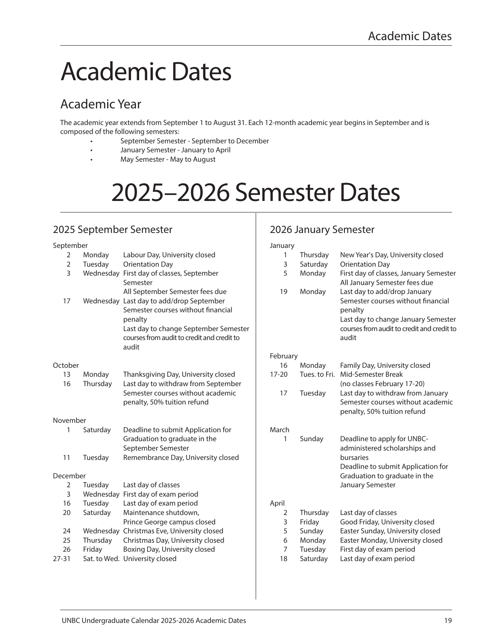# Academic Dates

# Academic Year

The academic year extends from September 1 to August 31. Each 12-month academic year begins in September and is composed of the following semesters:

- September Semester September to December
- January Semester January to April
- May Semester May to August

# 2025–2026 Semester Dates

## 2025 September Semester

# 2026 January Semester

| September    |          |                                                                                                                                                                                                                              | January      |                   |                                                                                                                                                                             |
|--------------|----------|------------------------------------------------------------------------------------------------------------------------------------------------------------------------------------------------------------------------------|--------------|-------------------|-----------------------------------------------------------------------------------------------------------------------------------------------------------------------------|
| 2            | Monday   | Labour Day, University closed                                                                                                                                                                                                | 1            | Thursday          | New Year's Day, University closed                                                                                                                                           |
| 2            | Tuesday  | <b>Orientation Day</b>                                                                                                                                                                                                       | 3            | Saturday          | <b>Orientation Day</b>                                                                                                                                                      |
| 3            |          | Wednesday First day of classes, September<br>Semester                                                                                                                                                                        | 5            | Monday            | First day of classes, January Semester<br>All January Semester fees due                                                                                                     |
| 17           |          | All September Semester fees due<br>Wednesday Last day to add/drop September<br>Semester courses without financial<br>penalty<br>Last day to change September Semester<br>courses from audit to credit and credit to<br>audit | 19           | Monday            | Last day to add/drop January<br>Semester courses without financial<br>penalty<br>Last day to change January Semester<br>courses from audit to credit and credit to<br>audit |
|              |          |                                                                                                                                                                                                                              | February     |                   |                                                                                                                                                                             |
| October      |          |                                                                                                                                                                                                                              | 16           | Monday            | Family Day, University closed                                                                                                                                               |
| 13           | Monday   | Thanksgiving Day, University closed                                                                                                                                                                                          | $17 - 20$    | Tues. to Fri.     | Mid-Semester Break                                                                                                                                                          |
| 16           | Thursday | Last day to withdraw from September                                                                                                                                                                                          |              |                   | (no classes February 17-20)                                                                                                                                                 |
|              |          | Semester courses without academic<br>penalty, 50% tuition refund                                                                                                                                                             | 17           | Tuesday           | Last day to withdraw from January<br>Semester courses without academic<br>penalty, 50% tuition refund                                                                       |
| November     |          |                                                                                                                                                                                                                              |              |                   |                                                                                                                                                                             |
| $\mathbf{1}$ | Saturday | Deadline to submit Application for                                                                                                                                                                                           | March        |                   |                                                                                                                                                                             |
|              |          | Graduation to graduate in the                                                                                                                                                                                                | $\mathbf{1}$ | Sunday            | Deadline to apply for UNBC-                                                                                                                                                 |
|              |          | September Semester                                                                                                                                                                                                           |              |                   | administered scholarships and                                                                                                                                               |
| 11           | Tuesday  | Remembrance Day, University closed                                                                                                                                                                                           |              |                   | bursaries                                                                                                                                                                   |
|              |          |                                                                                                                                                                                                                              |              |                   | Deadline to submit Application for                                                                                                                                          |
| December     |          |                                                                                                                                                                                                                              |              |                   | Graduation to graduate in the                                                                                                                                               |
| 2            | Tuesday  | Last day of classes                                                                                                                                                                                                          |              |                   | January Semester                                                                                                                                                            |
| 3            |          | Wednesday First day of exam period                                                                                                                                                                                           |              |                   |                                                                                                                                                                             |
| 16           | Tuesday  | Last day of exam period                                                                                                                                                                                                      | April        |                   |                                                                                                                                                                             |
| 20           | Saturday | Maintenance shutdown,                                                                                                                                                                                                        | 2<br>3       | Thursday          | Last day of classes<br>Good Friday, University closed                                                                                                                       |
|              |          | Prince George campus closed                                                                                                                                                                                                  |              | Friday            | Easter Sunday, University closed                                                                                                                                            |
| 24<br>25     |          | Wednesday Christmas Eve, University closed                                                                                                                                                                                   | 5            | Sunday            |                                                                                                                                                                             |
| 26           | Thursday | Christmas Day, University closed<br>Boxing Day, University closed                                                                                                                                                            | 6<br>7       | Monday<br>Tuesday | Easter Monday, University closed<br>First day of exam period                                                                                                                |
| 27-31        | Friday   | Sat. to Wed. University closed                                                                                                                                                                                               | 18           | Saturday          | Last day of exam period                                                                                                                                                     |
|              |          |                                                                                                                                                                                                                              |              |                   |                                                                                                                                                                             |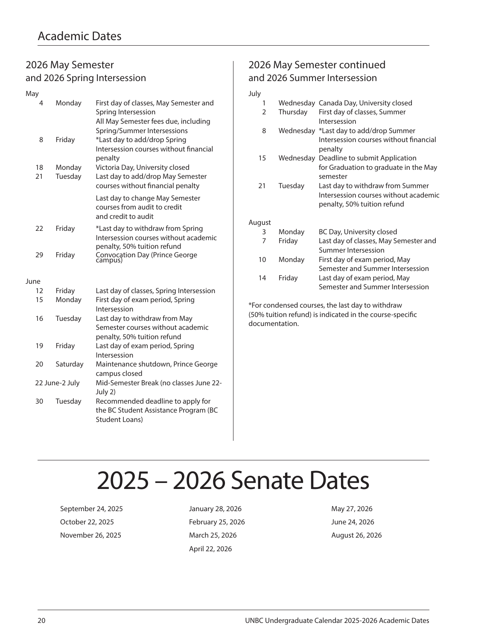### 2026 May Semester and 2026 Spring Intersession

| May            |          |                   |                                                                                                                                      |
|----------------|----------|-------------------|--------------------------------------------------------------------------------------------------------------------------------------|
|                | 4        | Monday            | First day of classes, May Semester and<br>Spring Intersession<br>All May Semester fees due, including<br>Spring/Summer Intersessions |
|                | 8        | Friday            | *Last day to add/drop Spring<br>Intersession courses without financial<br>penalty                                                    |
|                | 18<br>21 | Monday<br>Tuesday | Victoria Day, University closed<br>Last day to add/drop May Semester<br>courses without financial penalty                            |
|                |          |                   | Last day to change May Semester<br>courses from audit to credit<br>and credit to audit                                               |
|                | 22       | Friday            | *Last day to withdraw from Spring<br>Intersession courses without academic<br>penalty, 50% tuition refund                            |
|                | 29       | Friday            | Convocation Day (Prince George<br>campus)                                                                                            |
| June           |          |                   |                                                                                                                                      |
|                | 12       | Friday            | Last day of classes, Spring Intersession                                                                                             |
|                | 15       | Monday            | First day of exam period, Spring<br>Intersession                                                                                     |
|                | 16       | Tuesday           | Last day to withdraw from May<br>Semester courses without academic<br>penalty, 50% tuition refund                                    |
|                | 19       | Friday            | Last day of exam period, Spring<br>Intersession                                                                                      |
|                | 20       | Saturday          | Maintenance shutdown, Prince George<br>campus closed                                                                                 |
| 22 June-2 July |          |                   | Mid-Semester Break (no classes June 22-<br>July 2)                                                                                   |
|                | 30       | Tuesday           | Recommended deadline to apply for<br>the BC Student Assistance Program (BC<br>Student Loans)                                         |

## 2026 May Semester continued and 2026 Summer Intersession

### July

| 1      |           | Wednesday Canada Day, University closed                                          |
|--------|-----------|----------------------------------------------------------------------------------|
| 2      | Thursday  | First day of classes, Summer<br>Intersession                                     |
| 8      |           | Wednesday *Last day to add/drop Summer<br>Intersession courses without financial |
|        |           | penalty                                                                          |
| 15     | Wednesday | Deadline to submit Application                                                   |
|        |           | for Graduation to graduate in the May<br>semester                                |
| 21     | Tuesday   | Last day to withdraw from Summer                                                 |
|        |           | Intersession courses without academic                                            |
|        |           | penalty, 50% tuition refund                                                      |
| August |           |                                                                                  |
| 3      | Monday    | BC Day, University closed                                                        |
| 7      | Friday    | Last day of classes, May Semester and                                            |
|        |           | Summer Intersession                                                              |
| 10     | Monday    | First day of exam period, May                                                    |
|        |           | Semester and Summer Intersession                                                 |
| 14     | Friday    | Last day of exam period, May                                                     |
|        |           | Semester and Summer Intersession                                                 |

\*For condensed courses, the last day to withdraw (50% tuition refund) is indicated in the course-specific documentation.

# 2025 – 2026 Senate Dates

September 24, 2025 January 28, 2026 May 27, 2026 October 22, 2025 February 25, 2026 June 24, 2026 November 26, 2025 March 25, 2026 August 26, 2026

April 22, 2026